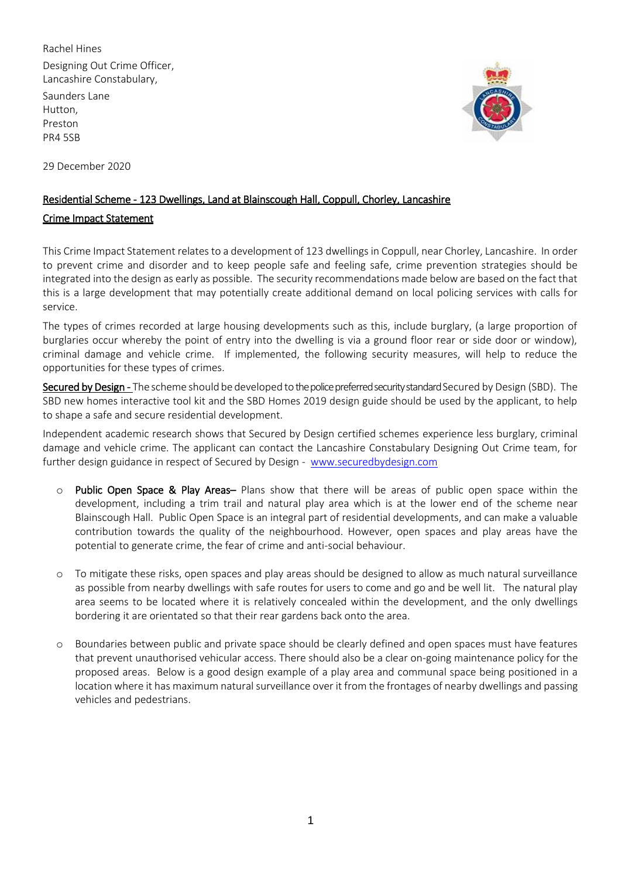Rachel Hines Designing Out Crime Officer, Lancashire Constabulary,

Saunders Lane Hutton, Preston PR4 5SB

29 December 2020



## Residential Scheme - 123 Dwellings, Land at Blainscough Hall, Coppull, Chorley, Lancashire

## Crime Impact Statement

This Crime Impact Statement relates to a development of 123 dwellings in Coppull, near Chorley, Lancashire. In order to prevent crime and disorder and to keep people safe and feeling safe, crime prevention strategies should be integrated into the design as early as possible. The security recommendations made below are based on the fact that this is a large development that may potentially create additional demand on local policing services with calls for service.

The types of crimes recorded at large housing developments such as this, include burglary, (a large proportion of burglaries occur whereby the point of entry into the dwelling is via a ground floor rear or side door or window), criminal damage and vehicle crime. If implemented, the following security measures, will help to reduce the opportunities for these types of crimes.

Secured by Design - The scheme should be developed to the police preferred security standard Secured by Design (SBD). The SBD new homes interactive tool kit and the SBD Homes 2019 design guide should be used by the applicant, to help to shape a safe and secure residential development.

Independent academic research shows that Secured by Design certified schemes experience less burglary, criminal damage and vehicle crime. The applicant can contact the Lancashire Constabulary Designing Out Crime team, for further design guidance in respect of Secured by Design - [www.securedbydesign.com](http://www.securedbydesign.com/)

- o Public Open Space & Play Areas– Plans show that there will be areas of public open space within the development, including a trim trail and natural play area which is at the lower end of the scheme near Blainscough Hall. Public Open Space is an integral part of residential developments, and can make a valuable contribution towards the quality of the neighbourhood. However, open spaces and play areas have the potential to generate crime, the fear of crime and anti-social behaviour.
- o To mitigate these risks, open spaces and play areas should be designed to allow as much natural surveillance as possible from nearby dwellings with safe routes for users to come and go and be well lit. The natural play area seems to be located where it is relatively concealed within the development, and the only dwellings bordering it are orientated so that their rear gardens back onto the area.
- o Boundaries between public and private space should be clearly defined and open spaces must have features that prevent unauthorised vehicular access. There should also be a clear on-going maintenance policy for the proposed areas. Below is a good design example of a play area and communal space being positioned in a location where it has maximum natural surveillance over it from the frontages of nearby dwellings and passing vehicles and pedestrians.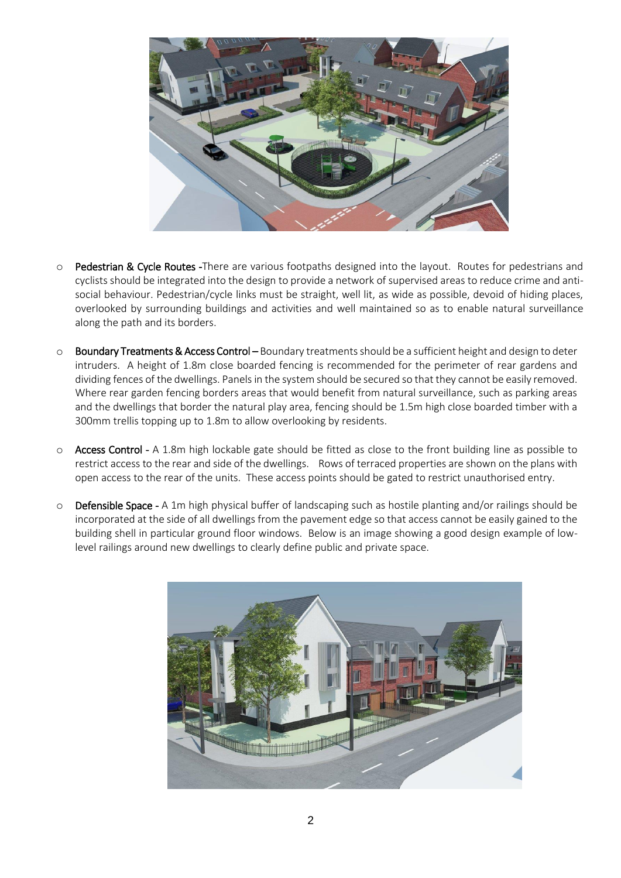

- o Pedestrian & Cycle Routes -There are various footpaths designed into the layout. Routes for pedestrians and cyclists should be integrated into the design to provide a network of supervised areas to reduce crime and antisocial behaviour. Pedestrian/cycle links must be straight, well lit, as wide as possible, devoid of hiding places, overlooked by surrounding buildings and activities and well maintained so as to enable natural surveillance along the path and its borders.
- o Boundary Treatments & Access Control Boundary treatments should be a sufficient height and design to deter intruders. A height of 1.8m close boarded fencing is recommended for the perimeter of rear gardens and dividing fences of the dwellings. Panels in the system should be secured so that they cannot be easily removed. Where rear garden fencing borders areas that would benefit from natural surveillance, such as parking areas and the dwellings that border the natural play area, fencing should be 1.5m high close boarded timber with a 300mm trellis topping up to 1.8m to allow overlooking by residents.
- o Access Control A 1.8m high lockable gate should be fitted as close to the front building line as possible to restrict access to the rear and side of the dwellings. Rows of terraced properties are shown on the plans with open access to the rear of the units. These access points should be gated to restrict unauthorised entry.
- **Defensible Space -** A 1m high physical buffer of landscaping such as hostile planting and/or railings should be incorporated at the side of all dwellings from the pavement edge so that access cannot be easily gained to the building shell in particular ground floor windows. Below is an image showing a good design example of lowlevel railings around new dwellings to clearly define public and private space.

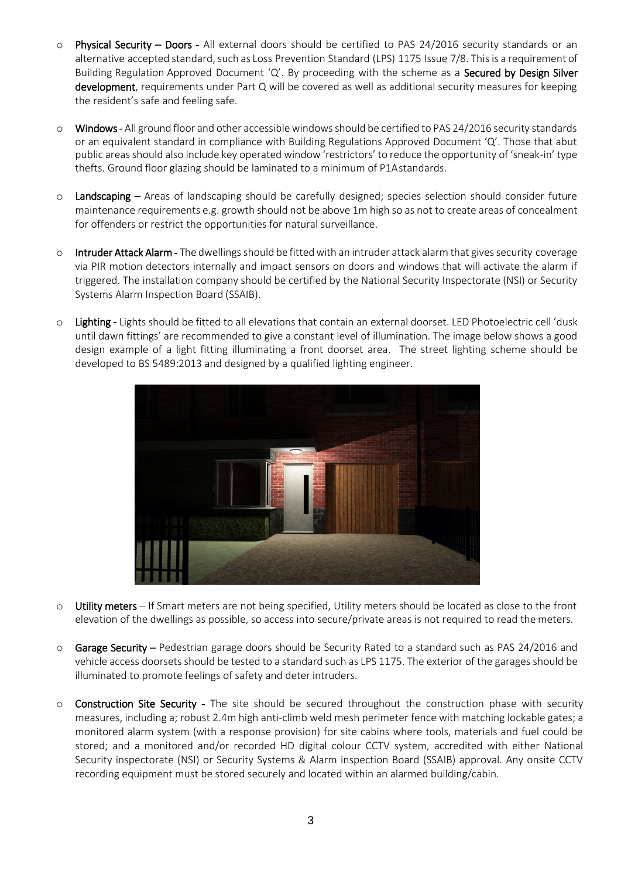- o Physical Security Doors All external doors should be certified to PAS 24/2016 security standards or an alternative accepted standard, such as Loss Prevention Standard (LPS) 1175 Issue 7/8. This is a requirement of Building Regulation Approved Document 'Q'. By proceeding with the scheme as a Secured by Design Silver development, requirements under Part Q will be covered as well as additional security measures for keeping the resident's safe and feeling safe.
- o Windows All ground floor and other accessible windows should be certified to PAS 24/2016 security standards or an equivalent standard in compliance with Building Regulations Approved Document 'Q'. Those that abut public areas should also include key operated window 'restrictors' to reduce the opportunity of 'sneak-in' type thefts. Ground floor glazing should be laminated to a minimum of P1Astandards.
- $\circ$  Landscaping Areas of landscaping should be carefully designed; species selection should consider future maintenance requirements e.g. growth should not be above 1m high so as not to create areas of concealment for offenders or restrict the opportunities for natural surveillance.
- o Intruder Attack Alarm The dwellings should be fitted with an intruder attack alarm that gives security coverage via PIR motion detectors internally and impact sensors on doors and windows that will activate the alarm if triggered. The installation company should be certified by the National Security Inspectorate (NSI) or Security Systems Alarm Inspection Board (SSAIB).
- o Lighting Lights should be fitted to all elevations that contain an external doorset. LED Photoelectric cell 'dusk until dawn fittings' are recommended to give a constant level of illumination. The image below shows a good design example of a light fitting illuminating a front doorset area. The street lighting scheme should be developed to BS 5489:2013 and designed by a qualified lighting engineer.



- o Utility meters If Smart meters are not being specified, Utility meters should be located as close to the front elevation of the dwellings as possible, so access into secure/private areas is not required to read the meters.
- o Garage Security Pedestrian garage doors should be Security Rated to a standard such as PAS 24/2016 and vehicle access doorsets should be tested to a standard such as LPS 1175. The exterior of the garages should be illuminated to promote feelings of safety and deter intruders.
- o Construction Site Security The site should be secured throughout the construction phase with security measures, including a; robust 2.4m high anti-climb weld mesh perimeter fence with matching lockable gates; a monitored alarm system (with a response provision) for site cabins where tools, materials and fuel could be stored; and a monitored and/or recorded HD digital colour CCTV system, accredited with either National Security inspectorate (NSI) or Security Systems & Alarm inspection Board (SSAIB) approval. Any onsite CCTV recording equipment must be stored securely and located within an alarmed building/cabin.